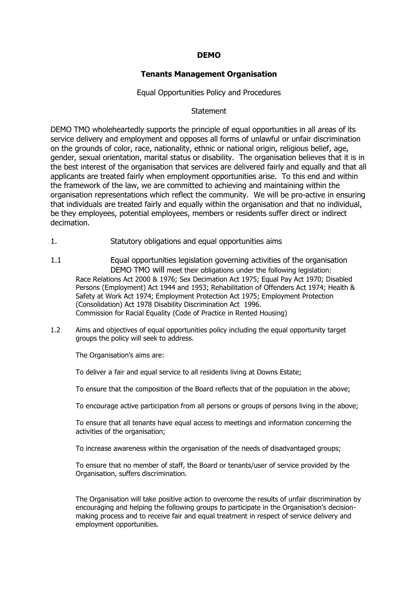## **DEMO**

# **Tenants Management Organisation**

## Equal Opportunities Policy and Procedures

## **Statement**

DEMO TMO wholeheartedly supports the principle of equal opportunities in all areas of its service delivery and employment and opposes all forms of unlawful or unfair discrimination on the grounds of color, race, nationality, ethnic or national origin, religious belief, age, gender, sexual orientation, marital status or disability. The organisation believes that it is in the best interest of the organisation that services are delivered fairly and equally and that all applicants are treated fairly when employment opportunities arise. To this end and within the framework of the law, we are committed to achieving and maintaining within the organisation representations which reflect the community. We will be pro-active in ensuring that individuals are treated fairly and equally within the organisation and that no individual, be they employees, potential employees, members or residents suffer direct or indirect decimation.

- 1. Statutory obligations and equal opportunities aims
- 1.1 Equal opportunities legislation governing activities of the organisation DEMO TMO will meet their obligations under the following legislation: Race Relations Act 2000 & 1976; Sex Decimation Act 1975; Equal Pay Act 1970; Disabled Persons (Employment) Act 1944 and 1953; Rehabilitation of Offenders Act 1974; Health & Safety at Work Act 1974; Employment Protection Act 1975; Employment Protection (Consolidation) Act 1978 Disability Discrimination Act 1996. Commission for Racial Equality (Code of Practice in Rented Housing)
- 1.2 Aims and objectives of equal opportunities policy including the equal opportunity target groups the policy will seek to address.

The Organisation's aims are:

To deliver a fair and equal service to all residents living at Downs Estate;

To ensure that the composition of the Board reflects that of the population in the above;

To encourage active participation from all persons or groups of persons living in the above;

To ensure that all tenants have equal access to meetings and information concerning the activities of the organisation;

To increase awareness within the organisation of the needs of disadvantaged groups;

To ensure that no member of staff, the Board or tenants/user of service provided by the Organisation, suffers discrimination.

The Organisation will take positive action to overcome the results of unfair discrimination by encouraging and helping the following groups to participate in the Organisation's decisionmaking process and to receive fair and equal treatment in respect of service delivery and employment opportunities.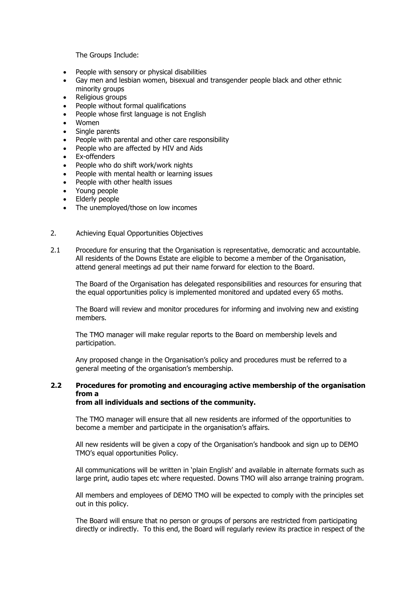The Groups Include:

- People with sensory or physical disabilities
- Gay men and lesbian women, bisexual and transgender people black and other ethnic minority groups
- Religious groups
- People without formal qualifications
- People whose first language is not English
- Women
- Single parents
- People with parental and other care responsibility
- People who are affected by HIV and Aids
- Ex-offenders
- People who do shift work/work nights
- People with mental health or learning issues
- People with other health issues
- Young people
- Elderly people
- The unemployed/those on low incomes
- 2. Achieving Equal Opportunities Objectives
- 2.1 Procedure for ensuring that the Organisation is representative, democratic and accountable. All residents of the Downs Estate are eligible to become a member of the Organisation, attend general meetings ad put their name forward for election to the Board.

The Board of the Organisation has delegated responsibilities and resources for ensuring that the equal opportunities policy is implemented monitored and updated every 65 moths.

The Board will review and monitor procedures for informing and involving new and existing members.

The TMO manager will make regular reports to the Board on membership levels and participation.

Any proposed change in the Organisation's policy and procedures must be referred to a general meeting of the organisation's membership.

# **2.2 Procedures for promoting and encouraging active membership of the organisation from a**

## **from all individuals and sections of the community.**

The TMO manager will ensure that all new residents are informed of the opportunities to become a member and participate in the organisation's affairs.

All new residents will be given a copy of the Organisation's handbook and sign up to DEMO TMO's equal opportunities Policy.

All communications will be written in 'plain English' and available in alternate formats such as large print, audio tapes etc where requested. Downs TMO will also arrange training program.

All members and employees of DEMO TMO will be expected to comply with the principles set out in this policy.

The Board will ensure that no person or groups of persons are restricted from participating directly or indirectly. To this end, the Board will regularly review its practice in respect of the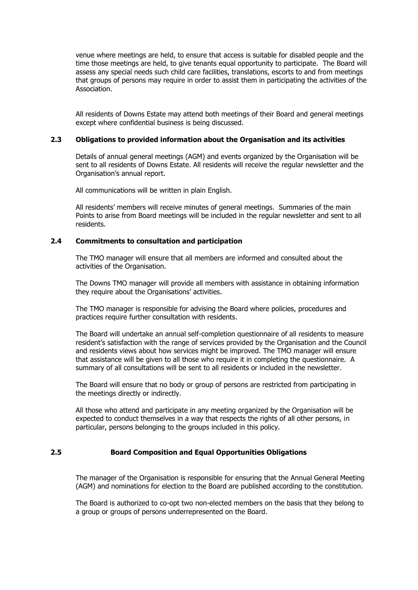venue where meetings are held, to ensure that access is suitable for disabled people and the time those meetings are held, to give tenants equal opportunity to participate. The Board will assess any special needs such child care facilities, translations, escorts to and from meetings that groups of persons may require in order to assist them in participating the activities of the Association.

All residents of Downs Estate may attend both meetings of their Board and general meetings except where confidential business is being discussed.

## **2.3 Obligations to provided information about the Organisation and its activities**

Details of annual general meetings (AGM) and events organized by the Organisation will be sent to all residents of Downs Estate. All residents will receive the regular newsletter and the Organisation's annual report.

All communications will be written in plain English.

All residents' members will receive minutes of general meetings. Summaries of the main Points to arise from Board meetings will be included in the regular newsletter and sent to all residents.

## **2.4 Commitments to consultation and participation**

The TMO manager will ensure that all members are informed and consulted about the activities of the Organisation.

The Downs TMO manager will provide all members with assistance in obtaining information they require about the Organisations' activities.

The TMO manager is responsible for advising the Board where policies, procedures and practices require further consultation with residents.

The Board will undertake an annual self-completion questionnaire of all residents to measure resident's satisfaction with the range of services provided by the Organisation and the Council and residents views about how services might be improved. The TMO manager will ensure that assistance will be given to all those who require it in completing the questionnaire. A summary of all consultations will be sent to all residents or included in the newsletter.

The Board will ensure that no body or group of persons are restricted from participating in the meetings directly or indirectly.

All those who attend and participate in any meeting organized by the Organisation will be expected to conduct themselves in a way that respects the rights of all other persons, in particular, persons belonging to the groups included in this policy.

## **2.5 Board Composition and Equal Opportunities Obligations**

The manager of the Organisation is responsible for ensuring that the Annual General Meeting (AGM) and nominations for election to the Board are published according to the constitution.

The Board is authorized to co-opt two non-elected members on the basis that they belong to a group or groups of persons underrepresented on the Board.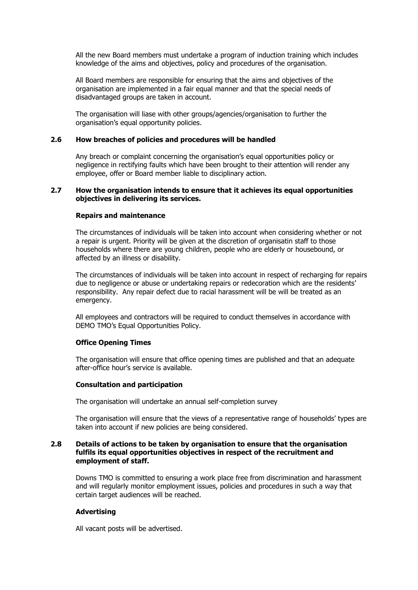All the new Board members must undertake a program of induction training which includes knowledge of the aims and objectives, policy and procedures of the organisation.

All Board members are responsible for ensuring that the aims and objectives of the organisation are implemented in a fair equal manner and that the special needs of disadvantaged groups are taken in account.

The organisation will liase with other groups/agencies/organisation to further the organisation's equal opportunity policies.

#### **2.6 How breaches of policies and procedures will be handled**

Any breach or complaint concerning the organisation's equal opportunities policy or negligence in rectifying faults which have been brought to their attention will render any employee, offer or Board member liable to disciplinary action.

#### **2.7 How the organisation intends to ensure that it achieves its equal opportunities objectives in delivering its services.**

#### **Repairs and maintenance**

The circumstances of individuals will be taken into account when considering whether or not a repair is urgent. Priority will be given at the discretion of organisatin staff to those households where there are young children, people who are elderly or housebound, or affected by an illness or disability.

The circumstances of individuals will be taken into account in respect of recharging for repairs due to negligence or abuse or undertaking repairs or redecoration which are the residents' responsibility. Any repair defect due to racial harassment will be will be treated as an emergency.

All employees and contractors will be required to conduct themselves in accordance with DEMO TMO's Equal Opportunities Policy.

#### **Office Opening Times**

The organisation will ensure that office opening times are published and that an adequate after-office hour's service is available.

#### **Consultation and participation**

The organisation will undertake an annual self-completion survey

The organisation will ensure that the views of a representative range of households' types are taken into account if new policies are being considered.

#### **2.8 Details of actions to be taken by organisation to ensure that the organisation fulfils its equal opportunities objectives in respect of the recruitment and employment of staff.**

Downs TMO is committed to ensuring a work place free from discrimination and harassment and will regularly monitor employment issues, policies and procedures in such a way that certain target audiences will be reached.

## **Advertising**

All vacant posts will be advertised.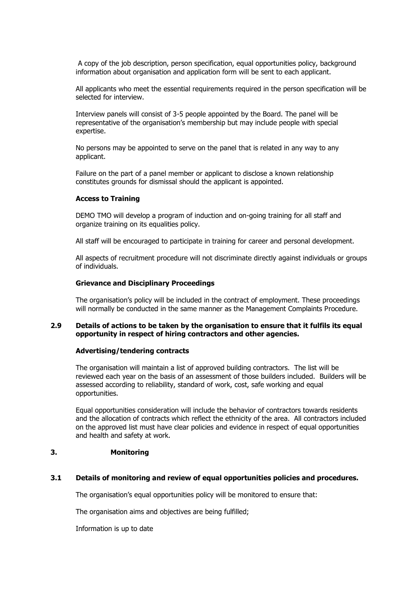A copy of the job description, person specification, equal opportunities policy, background information about organisation and application form will be sent to each applicant.

All applicants who meet the essential requirements required in the person specification will be selected for interview.

Interview panels will consist of 3-5 people appointed by the Board. The panel will be representative of the organisation's membership but may include people with special expertise.

No persons may be appointed to serve on the panel that is related in any way to any applicant.

Failure on the part of a panel member or applicant to disclose a known relationship constitutes grounds for dismissal should the applicant is appointed.

#### **Access to Training**

DEMO TMO will develop a program of induction and on-going training for all staff and organize training on its equalities policy.

All staff will be encouraged to participate in training for career and personal development.

All aspects of recruitment procedure will not discriminate directly against individuals or groups of individuals.

#### **Grievance and Disciplinary Proceedings**

The organisation's policy will be included in the contract of employment. These proceedings will normally be conducted in the same manner as the Management Complaints Procedure.

## **2.9 Details of actions to be taken by the organisation to ensure that it fulfils its equal opportunity in respect of hiring contractors and other agencies.**

#### **Advertising/tendering contracts**

The organisation will maintain a list of approved building contractors. The list will be reviewed each year on the basis of an assessment of those builders included. Builders will be assessed according to reliability, standard of work, cost, safe working and equal opportunities.

Equal opportunities consideration will include the behavior of contractors towards residents and the allocation of contracts which reflect the ethnicity of the area. All contractors included on the approved list must have clear policies and evidence in respect of equal opportunities and health and safety at work.

## **3. Monitoring**

## **3.1 Details of monitoring and review of equal opportunities policies and procedures.**

The organisation's equal opportunities policy will be monitored to ensure that:

The organisation aims and objectives are being fulfilled;

Information is up to date